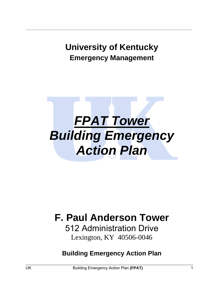# **University of Kentucky Emergency Management**

**\_\_\_\_\_\_\_\_\_\_\_\_\_\_\_\_\_\_\_\_\_\_\_\_\_\_\_\_\_\_\_\_\_\_\_\_\_\_\_\_\_\_\_\_\_\_\_\_\_\_\_\_\_\_\_\_\_\_\_\_\_\_\_\_\_\_\_\_\_\_\_\_\_\_\_\_** 



# **F. Paul Anderson Tower**

512 Administration Drive Lexington, KY 40506-0046

**Building Emergency Action Plan**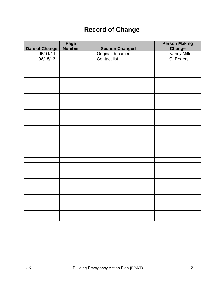# **Record of Change**

|                            | Page<br>Number |                                                      | <b>Person Making</b><br><b>Change</b> |
|----------------------------|----------------|------------------------------------------------------|---------------------------------------|
| Date of Change<br>06/01/11 |                |                                                      |                                       |
| 08/15/13                   |                | Section Changed<br>Original document<br>Contact list | Nancy Miller<br>C. Rogers             |
|                            |                |                                                      |                                       |
|                            |                |                                                      |                                       |
|                            |                |                                                      |                                       |
|                            |                |                                                      |                                       |
|                            |                |                                                      |                                       |
|                            |                |                                                      |                                       |
|                            |                |                                                      |                                       |
|                            |                |                                                      |                                       |
|                            |                |                                                      |                                       |
|                            |                |                                                      |                                       |
|                            |                |                                                      |                                       |
|                            |                |                                                      |                                       |
|                            |                |                                                      |                                       |
|                            |                |                                                      |                                       |
|                            |                |                                                      |                                       |
|                            |                |                                                      |                                       |
|                            |                |                                                      |                                       |
|                            |                |                                                      |                                       |
|                            |                |                                                      |                                       |
|                            |                |                                                      |                                       |
|                            |                |                                                      |                                       |
|                            |                |                                                      |                                       |
|                            |                |                                                      |                                       |
|                            |                |                                                      |                                       |
|                            |                |                                                      |                                       |
|                            |                |                                                      |                                       |
|                            |                |                                                      |                                       |
|                            |                |                                                      |                                       |
|                            |                |                                                      |                                       |
|                            |                |                                                      |                                       |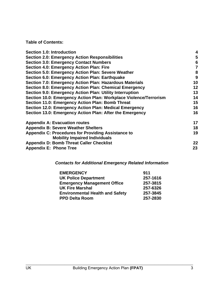**Table of Contents:** 

| <b>Section 1.0: Introduction</b>                                  | 4              |
|-------------------------------------------------------------------|----------------|
| <b>Section 2.0: Emergency Action Responsibilities</b>             | 5              |
| <b>Section 3.0: Emergency Contact Numbers</b>                     | 6              |
| Section 4.0: Emergency Action Plan: Fire                          | $\overline{7}$ |
| Section 5.0: Emergency Action Plan: Severe Weather                | 8              |
| Section 6.0: Emergency Action Plan: Earthquake                    | 9              |
| Section 7.0: Emergency Action Plan: Hazardous Materials           | 10             |
| Section 8.0: Emergency Action Plan: Chemical Emergency            | 12             |
| Section 9.0: Emergency Action Plan: Utility Interruption          | 13             |
| Section 10.0: Emergency Action Plan: Workplace Violence/Terrorism | 14             |
| <b>Section 11.0: Emergency Action Plan: Bomb Threat</b>           | 15             |
| Section 12.0: Emergency Action Plan: Medical Emergency            | 16             |
| Section 13.0: Emergency Action Plan: After the Emergency          | 16             |
| <b>Appendix A: Evacuation routes</b>                              | 17             |
| <b>Appendix B: Severe Weather Shelters</b>                        | 18             |
| <b>Appendix C: Procedures for Providing Assistance to</b>         | 19             |
| <b>Mobility Impaired Individuals</b>                              |                |
| <b>Appendix D: Bomb Threat Caller Checklist</b>                   | $22 \,$        |
| <b>Appendix E: Phone Tree</b>                                     | 23             |
|                                                                   |                |

## *Contacts for Additional Emergency Related Information*

| <b>EMERGENCY</b>                       | 911      |
|----------------------------------------|----------|
| <b>UK Police Department</b>            | 257-1616 |
| <b>Emergency Management Office</b>     | 257-3815 |
| <b>UK Fire Marshal</b>                 | 257-6326 |
| <b>Environmental Health and Safety</b> | 257-3845 |
| <b>PPD Delta Room</b>                  | 257-2830 |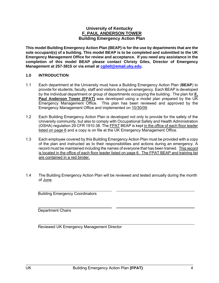#### **University of Kentucky F. PAUL ANDERSON TOWER Building Emergency Action Plan**

**This model Building Emergency Action Plan (BEAP) is for the use by departments that are the sole occupant(s) of a building. This model BEAP is to be completed and submitted to the UK Emergency Management Office for review and acceptance. If you need any assistance in the completion of this model BEAP please contact Christy Giles, Director of Emergency Management at 257-3815 or via email at cgile0@email.uky.edu.**

#### **1.0 INTRODUCTION**

- 1.1 Each department at the University must have a Building Emergency Action Plan (**BEAP**) to provide for students, faculty, staff and visitors during an emergency. Each BEAP is developed by the individual department or group of departments occupying the building. The plan for **F. Paul Anderson Tower (FPAT)** was developed using a model plan prepared by the UK Emergency Management Office. This plan has been reviewed and approved by the Emergency Management Office and implemented on 10/30/09.
- 1.2 Each Building Emergency Action Plan is developed not only to provide for the safety of the University community, but also to comply with Occupational Safety and Health Administration (OSHA) regulation 29 CFR 1910.38. The FPAT BEAP is kept in the office of each floor leader listed on page 6 and a copy is on file at the UK Emergency Management Office.
- 1.3 Each employee covered by this Building Emergency Action Plan must be provided with a copy of the plan and instructed as to their responsibilities and actions during an emergency. A record must be maintained including the names of everyone that has been trained. This record is located in the office of each floor leader listed on page 6. The FPAT BEAP and training list are contained in a red binder.
- 1.4 The Building Emergency Action Plan will be reviewed and tested annually during the month of June.

Building Emergency Coordinators

Department Chairs

Reviewed UK Emergency Management Director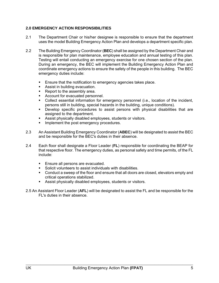#### **2.0 EMERGENCY ACTION RESPONSIBILITIES**

- 2.1 The Department Chair or his/her designee is responsible to ensure that the department uses the model Building Emergency Action Plan and develops a department specific plan.
- 2.2 The Building Emergency Coordinator (**BEC**) shall be assigned by the Department Chair and is responsible for plan maintenance, employee education and annual testing of this plan. Testing will entail conducting an emergency exercise for one chosen section of the plan. During an emergency, the BEC will implement the Building Emergency Action Plan and coordinate emergency actions to ensure the safety of the people in this building. The BEC emergency duties include:
	- **Ensure that the notification to emergency agencies takes place.**
	- **Assist in building evacuation.**
	- Report to the assembly area.
	- **Account for evacuated personnel.**
	- Collect essential information for emergency personnel (i.e., location of the incident, persons still in building, special hazards in the building, unique conditions).
	- Develop specific procedures to assist persons with physical disabilities that are assigned to the department.
	- Assist physically disabled employees, students or visitors.
	- Implement the post emergency procedures.
- 2.3 An Assistant Building Emergency Coordinator (**ABEC**) will be designated to assist the BEC and be responsible for the BEC's duties in their absence.
- 2.4 Each floor shall designate a Floor Leader (**FL**) responsible for coordinating the BEAP for that respective floor. The emergency duties, as personal safety and time permits, of the FL include:
	- **Ensure all persons are evacuated.**
	- Solicit volunteers to assist individuals with disabilities.
	- Conduct a sweep of the floor and ensure that all doors are closed, elevators empty and critical operations stabilized.
	- Assist physically disabled employees, students or visitors.
- 2.5 An Assistant Floor Leader (**AFL**) will be designated to assist the FL and be responsible for the FL's duties in their absence.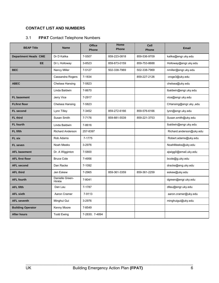#### **CONTACT LIST AND NUMBERS**

#### 3.1 **FPAT** Contact Telephone Numbers

| <b>BEAP Title</b>           | <b>Name</b>               | <b>Office</b><br><b>Phone</b> | Home<br><b>Phone</b> | Cell<br><b>Phone</b> | <b>Email</b>             |
|-----------------------------|---------------------------|-------------------------------|----------------------|----------------------|--------------------------|
| <b>Department Heads CME</b> | Dr D Kalika               | 7-5507                        | 859-223-0818         | 859-536-9709         | kalika@engr.uky.edu      |
| <b>EE</b>                   | Dr L Holloway             | 3-8523                        | 859-873-0159         | 859-753-8688         | Holloway@engr.uky.edu    |
| <b>BEC</b>                  | Nancy Miller              | 7-5127                        | 502-338-7969         | 502-338-7969         | nmiller@engr.uky.edu     |
|                             | Cassandra Rogers          | 7-1834                        |                      | 859-227-2126         | croge3@uky.edu           |
| <b>ABEC</b>                 | Chelsea Hansing           | 7-5823                        |                      |                      | chelsea@uky.edu          |
|                             | Linda Baldwin             | 7-8670                        |                      |                      | lbaldwin@engr.uky.edu    |
| <b>FL basement</b>          | Jerry Vice                | 7-2917                        |                      |                      | vice@engr.uky.edu        |
| <b>FLfirst floor</b>        | Chelsea Hansing           | 7-5823                        |                      |                      | CHansing@engr.uky.,edu   |
| <b>FL</b> second            | Lynn Tilley               | 7-3452                        | 859-272-6166         | 859-576-6166         | lynn@engr.uky.edu        |
| <b>FL third</b>             | Susan Smith               | 7-7176                        | 859-881-5539         | 859-221-3753         | Susan.smith@uky.edu      |
| <b>FL</b> fourth            | Linda Baldwin             | 7-8616                        |                      |                      | Ibaldwin@engr.uky.edu    |
| FL fifth                    | Richard Anderson          | 257-8397                      |                      |                      | Richard.anderson@uky.edu |
| <b>FL six</b>               | Rob Adams                 | 7-1775                        |                      |                      | Robert adams@uky.edu     |
| <b>FL</b> seven             | Noah Meeks                | 3-2976                        |                      |                      | NoahMeeks@uky.edu        |
| <b>AFL basement</b>         | Dr. A Wigginton           | 7-5800                        |                      |                      | ajwigg0@email.uky.edu    |
| <b>AFL first floor</b>      | <b>Bruce Cole</b>         | 7-4956                        |                      |                      | bcole@g.uky.edu          |
| <b>AFL second</b>           | Dan Racke                 | 7-1092                        |                      |                      | dracke@eng.uky.edu       |
| <b>AFL third</b>            | Jen Eskew                 | 7-2965                        | 859-361-3359         | 859-361-2259         | eskew@uky.edu            |
| <b>AFL fourth</b>           | Danielle Green-<br>Hinkle | 7-8041                        |                      |                      | dgreen@engr.uky.edu      |
| <b>AFL fifth</b>            | Dan Lau                   | 7-1787                        |                      |                      | dllau@engr.uky.edu       |
| <b>AFL sixth</b>            | Aaron Cramer              | 7-9113                        |                      |                      | aaron.cramer@uky.edu     |
| <b>AFL seventh</b>          | Minghui Gui               | 3-2976                        |                      |                      | minghuigui@uky.edu       |
| <b>Building Operator</b>    | Kenny Moore               | 7-8549                        |                      |                      |                          |
| <b>After hours</b>          | <b>Todd Ewing</b>         | 7-2830; 7-4894                |                      |                      |                          |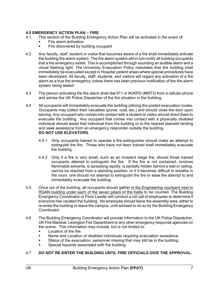#### **4.0 EMERGENCY ACTION PLAN – FIRE**

- 4.1 This section of the Building Emergency Action Plan will be activated in the event of:
	- Fire alarm activation
	- Fire discovered by building occupant
- 4.2 Any faculty, staff, student or visitor that becomes aware of a fire shall immediately activate the building fire alarm system. The fire alarm system will in turn notify all building occupants that a fire emergency exists. This is accomplished through sounding an audible alarm and a visual flashing light. The University Evacuation Policy mandates that the building shall immediately be evacuated except in Hospital patient areas where special procedures have been developed. All faculty, staff, students, and visitors will regard any activation of a fire alarm as a true fire emergency unless there has been previous notification of the fire alarm system being tested.
- 4.3 The person activating the fire alarm shall dial 911 or #UKPD (#8573) from a cellular phone and advise the UK Police Dispatcher of the fire situation in the building.
- 4.4 All occupants will immediately evacuate the building utilizing the posted evacuation routes. Occupants may collect their valuables (purse, coat, etc.) and should close the door upon leaving. Any occupant who comes into contact with a student or visitor should direct them to evacuate the building. Any occupant that comes into contact with a physically disabled individual should assist that individual from the building or to the nearest stairwell landing and seek assistance from an emergency responder outside the building. **DO NOT USE ELEVATORS**.
	- 4.4.1 Only occupants trained to operate a fire extinguisher should make an attempt to extinguish the fire. Those who have not been trained shall immediately evacuate the building.
	- 4.4.2 Only if a fire is very small, such as an incipient stage fire, should those trained occupants attempt to extinguish the fire. If the fire is not contained, involves flammable solvents, is spreading rapidly, is partially hidden behind a wall or ceiling, cannot be reached from a standing position, or if it becomes difficult to breathe in the room, one should not attempt to extinguish the fire or ease the attempt to and immediately evacuate the building.
- 4.5 Once out of the building, all occupants should gather in the Engineering courtyard next to RGAN building under each of the seven pillars of the trellis to be counted. The Building Emergency Coordinator or Floor Leader will conduct a roll call of employees to determine if everyone has vacated the building. No employee should leave the assembly area, either to re-enter the building or leave the campus, until advised to do so by the Building Emergency Coordinator.
- 4.6 The Building Emergency Coordinator will provide information to the UK Police Dispatcher, UK Fire Marshal, Lexington Fire Department or any other emergency response agencies on the scene. This information may include, but is not limited to:
	- Location of the fire.
	- **Name and Location of disabled individuals requiring evacuation assistance.**
	- Status of the evacuation, personnel missing that may still be in the building.
	- Special hazards associated with the building.

#### 4.7 **DO NOT RE-ENTER THE BUILDING UNTIL FIRE OFFICIALS GIVE THE APPROVAL.**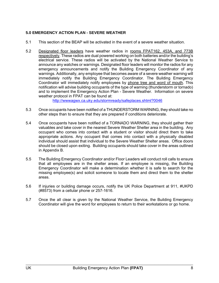#### **5.0 EMERGENCY ACTION PLAN - SEVERE WEATHER**

- 5.1 This section of the BEAP will be activated in the event of a severe weather situation.
- 5.2 Designated floor leaders have weather radios in rooms FPAT162, 453A, and 773B respectively. These radios are dual powered working on both batteries and/or the building's electrical service. These radios will be activated by the National Weather Service to announce any watches or warnings. Designated floor leaders will monitor the radios for any emergency announcements and notify the Building Emergency Coordinator of any warnings. Additionally, any employee that becomes aware of a severe weather warning will immediately notify the Building Emergency Coordinator. The Building Emergency Coordinator will immediately notify employees by phone tree and word of mouth. This notification will advise building occupants of the type of warning (thunderstorm or tornado) and to implement the Emergency Action Plan - Severe Weather. Information on severe weather protocol in FPAT can be found at:

http://wwwagwx.ca.uky.edu/stormready/safeplaces.shtml?0046

- 5.3 Once occupants have been notified of a THUNDERSTORM WARNING, they should take no other steps than to ensure that they are prepared if conditions deteriorate.
- 5.4 Once occupants have been notified of a TORNADO WARNING, they should gather their valuables and take cover in the nearest Severe Weather Shelter area in the building. Any occupant who comes into contact with a student or visitor should direct them to take appropriate actions. Any occupant that comes into contact with a physically disabled individual should assist that individual to the Severe Weather Shelter areas. Office doors should be closed upon exiting. Building occupants should take cover in the areas outlined in Appendix B.
- 5.5 The Building Emergency Coordinator and/or Floor Leaders will conduct roll calls to ensure that all employees are in the shelter areas. If an employee is missing, the Building Emergency Coordinator will make a determination whether it is safe to search for the missing employee(s) and solicit someone to locate them and direct them to the shelter areas.
- 5.6 If injuries or building damage occurs, notify the UK Police Department at 911, #UKPD (#8573) from a cellular phone or 257-1616.
- 5.7 Once the all clear is given by the National Weather Service, the Building Emergency Coordinator will give the word for employees to return to their workstations or go home.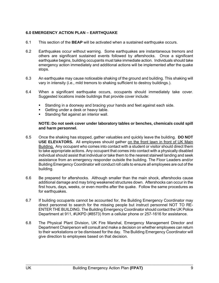#### **6.0 EMERGENCY ACTION PLAN – EARTHQUAKE**

- 6.1 This section of the **BEAP** will be activated when a sustained earthquake occurs.
- 6.2 Earthquakes occur without warning. Some earthquakes are instantaneous tremors and others are significant sustained events followed by aftershocks. Once a significant earthquake begins, building occupants must take immediate action. Individuals should take emergency action immediately and additional actions will be implemented after the quake stops.
- 6.3 An earthquake may cause noticeable shaking of the ground and building. This shaking will vary in intensity (i.e., mild tremors to shaking sufficient to destroy buildings.).
- 6.4 When a significant earthquake occurs, occupants should immediately take cover. Suggested locations inside buildings that provide cover include:
	- Standing in a doorway and bracing your hands and feet against each side.
	- Getting under a desk or heavy table.
	- **Standing flat against an interior wall.**

#### **NOTE: Do not seek cover under laboratory tables or benches, chemicals could spill and harm personnel.**

- 6.5 Once the shaking has stopped, gather valuables and quickly leave the building. **DO NOT USE ELEVATORS.** All employees should gather on the front lawn in front of UK Main Building. Any occupant who comes into contact with a student or visitor should direct them to take appropriate actions. Any occupant that comes into contact with a physically disabled individual should assist that individual or take them to the nearest stairwell landing and seek assistance from an emergency responder outside the building. The Floor Leaders and/or Building Emergency Coordinator will conduct roll calls to ensure all employees are out of the building.
- 6.6 Be prepared for aftershocks. Although smaller than the main shock, aftershocks cause additional damage and may bring weakened structures down. Aftershocks can occur in the first hours, days, weeks, or even months after the quake. Follow the same procedures as for earthquakes.
- 6.7 If building occupants cannot be accounted for, the Building Emergency Coordinator may direct personnel to search for the missing people but instruct personnel NOT TO RE-ENTER THE BUILDING. The Building Emergency Coordinator should contact the UK Police Department at 911, #UKPD (#8573) from a cellular phone or 257-1616 for assistance.
- 6.8 The Physical Plant Division, UK Fire Marshal, Emergency Management Director and Department Chairperson will consult and make a decision on whether employees can return to their workstations or be dismissed for the day. The Building Emergency Coordinator will give direction to employees based on that decision.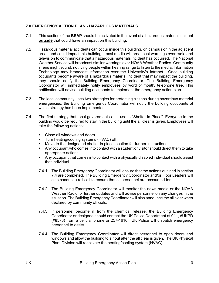#### **7.0 EMERGENCY ACTION PLAN - HAZARDOUS MATERIALS**

- 7.1 This section of the **BEAP** should be activated in the event of a hazardous material incident **outside** that could have an impact on this building.
- 7.2 Hazardous material accidents can occur inside this building, on campus or in the adjacent areas and could impact this building. Local media will broadcast warnings over radio and television to communicate that a hazardous materials incident has occurred. The National Weather Service will broadcast similar warnings over NOAA Weather Radios. Community sirens might sound, notifying people within hearing range to listen to the media. Information Technology may broadcast information over the University's Intranet. Once building occupants become aware of a hazardous material incident that may impact the building, they should notify the Building Emergency Coordinator. The Building Emergency Coordinator will immediately notify employees by word of mouth/ telephone tree. This notification will advise building occupants to implement the emergency action plan.
- 7.3 The local community uses two strategies for protecting citizens during hazardous material emergencies, the Building Emergency Coordinator will notify the building occupants of which strategy has been implemented.
- 7.4 The first strategy that local government could use is "Shelter in Place". Everyone in the building would be required to stay in the building until the all clear is given. Employees will take the following actions:
	- Close all windows and doors
	- **Turn heating/cooling systems (HVAC) off**
	- Move to the designated shelter in place location for further instructions.
	- Any occupant who comes into contact with a student or visitor should direct them to take appropriate actions
	- Any occupant that comes into contact with a physically disabled individual should assist that individual
	- 7.4.1 The Building Emergency Coordinator will ensure that the actions outlined in section 7.4 are completed. The Building Emergency Coordinator and/or Floor Leaders will also conduct a roll call to ensure that all personnel are accounted for.
	- 7.4.2 The Building Emergency Coordinator will monitor the news media or the NOAA Weather Radio for further updates and will advise personnel on any changes in the situation. The Building Emergency Coordinator will also announce the all clear when declared by community officials.
	- 7.4.3 If personnel become ill from the chemical release, the Building Emergency Coordinator or designee should contact the UK Police Department at 911, #UKPD (#8573) from a cellular phone or 257-1616. UK Police will dispatch emergency personnel to assist.
	- 7.4.4 The Building Emergency Coordinator will direct personnel to open doors and windows and allow the building to air out after the all clear is given. The UK Physical Plant Division will reactivate the heating/cooling system (HVAC).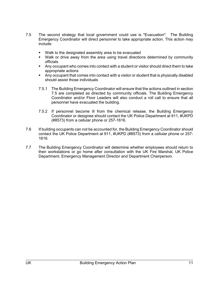- 7.5 The second strategy that local government could use is "Evacuation". The Building Emergency Coordinator will direct personnel to take appropriate action. This action may include:
	- Walk to the designated assembly area to be evacuated
	- Walk or drive away from the area using travel directions determined by community officials
	- Any occupant who comes into contact with a student or visitor should direct them to take appropriate actions
	- Any occupant that comes into contact with a visitor or student that is physically disabled should assist those individuals
	- 7.5.1 The Building Emergency Coordinator will ensure that the actions outlined in section 7.5 are completed as directed by community officials. The Building Emergency Coordinator and/or Floor Leaders will also conduct a roll call to ensure that all personnel have evacuated the building.
	- 7.5.2 If personnel become ill from the chemical release, the Building Emergency Coordinator or designee should contact the UK Police Department at 911, #UKPD (#8573) from a cellular phone or 257-1616.
- 7.6 If building occupants can not be accounted for, the Building Emergency Coordinator should contact the UK Police Department at 911, #UKPD (#8573) from a cellular phone or 257- 1616.
- 7.7 The Building Emergency Coordinator will determine whether employees should return to their workstations or go home after consultation with the UK Fire Marshal, UK Police Department, Emergency Management Director and Department Chairperson.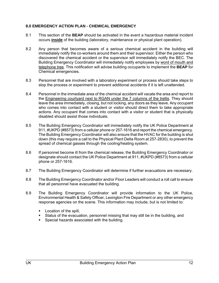#### **8.0 EMERGENCY ACTION PLAN - CHEMICAL EMERGENCY**

- 8.1 This section of the **BEAP** should be activated in the event a hazardous material incident occurs **inside** of the building (laboratory, maintenance or physical plant operation).
- 8.2 Any person that becomes aware of a serious chemical accident in the building will immediately notify the co-workers around them and their supervisor. Either the person who discovered the chemical accident or the supervisor will immediately notify the BEC. The Building Emergency Coordinator will immediately notify employees by word of mouth and telephone tree. This notification will advise building occupants to implement the **BEAP** for Chemical emergencies.
- 8.3 Personnel that are involved with a laboratory experiment or process should take steps to stop the process or experiment to prevent additional accidents if it is left unattended.
- 8.4 Personnel in the immediate area of the chemical accident will vacate the area and report to the Engineering courtyard next to RGAN under the 7 columns of the trellis. They should leave the area immediately, closing, but not locking, any doors as they leave. Any occupant who comes into contact with a student or visitor should direct them to take appropriate actions. Any occupant that comes into contact with a visitor or student that is physically disabled should assist those individuals.
- 8.5 The Building Emergency Coordinator will immediately notify the UK Police Department at 911, #UKPD (#8573) from a cellular phone or 257-1616 and report the chemical emergency. The Building Emergency Coordinator will also ensure that the HVAC for the building is shut down (this may require a call to the Physical Plant Delta Room at 257-2830), to prevent the spread of chemical gasses through the cooling/heating system.
- 8.6 If personnel become ill from the chemical release, the Building Emergency Coordinator or designate should contact the UK Police Department at 911, #UKPD (#8573) from a cellular phone or 257-1616.
- 8.7 The Building Emergency Coordinator will determine if further evacuations are necessary.
- 8.8 The Building Emergency Coordinator and/or Floor Leaders will conduct a roll call to ensure that all personnel have evacuated the building.
- 8.9 The Building Emergency Coordinator will provide information to the UK Police, Environmental Health & Safety Officer, Lexington Fire Department or any other emergency response agencies on the scene. This information may include, but is not limited to:
	- **Location of the spill,**
	- Status of the evacuation, personnel missing that may still be in the building, and
	- **Special hazards associated with the building.**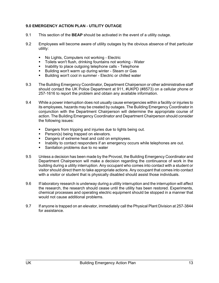#### **9.0 EMERGENCY ACTION PLAN - UTILITY OUTAGE**

- 9.1 This section of the **BEAP** should be activated in the event of a utility outage.
- 9.2 Employees will become aware of utility outages by the obvious absence of that particular utility:
	- No Lights, Computers not working Electric
	- Toilets won't flush, drinking fountains not working Water
	- **Inability to place outgoing telephone calls Telephone**
	- **Building won't warm up during winter Steam or Gas**
	- Building won't cool in summer Electric or chilled water
- 9.3 The Building Emergency Coordinator, Department Chairperson or other administrative staff should contact the UK Police Department at 911, #UKPD (#8573) on a cellular phone or 257-1616 to report the problem and obtain any available information.
- 9.4 While a power interruption does not usually cause emergencies within a facility or injuries to its employees, hazards may be created by outages. The Building Emergency Coordinator in conjunction with the Department Chairperson will determine the appropriate course of action. The Building Emergency Coordinator and Department Chairperson should consider the following issues:
	- Dangers from tripping and injuries due to lights being out.
	- **Person(s) being trapped on elevators.**
	- Dangers of extreme heat and cold on employees.
	- Inability to contact responders if an emergency occurs while telephones are out.
	- **Sanitation problems due to no water**
- 9.5 Unless a decision has been made by the Provost, the Building Emergency Coordinator and Department Chairperson will make a decision regarding the continuance of work in the building during a utility interruption. Any occupant who comes into contact with a student or visitor should direct them to take appropriate actions. Any occupant that comes into contact with a visitor or student that is physically disabled should assist those individuals.
- 9.6 If laboratory research is underway during a utility interruption and the interruption will affect the research, the research should cease until the utility has been restored. Experiments, chemical processes and operating electric equipment should be stopped in a manner that would not cause additional problems.
- 9.7 If anyone is trapped on an elevator, immediately call the Physical Plant Division at 257-3844 for assistance.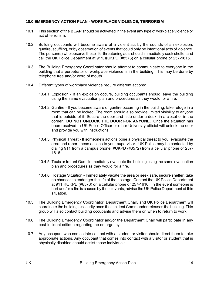#### **10.0 EMERGENCY ACTION PLAN - WORKPLACE VIOLENCE, TERRORISM**

- 10.1 This section of the **BEAP** should be activated in the event any type of workplace violence or act of terrorism.
- 10.2 Building occupants will become aware of a violent act by the sounds of an explosion, gunfire, scuffling, or by observation of events that could only be intentional acts of violence. The person(s) who observe these life-threatening acts should immediately seek shelter and call the UK Police Department at 911, #UKPD (#8573) on a cellular phone or 257-1616.
- 10.3 The Building Emergency Coordinator should attempt to communicate to everyone in the building that a perpetrator of workplace violence is in the building. This may be done by telephone tree and/or word of mouth.
- 10.4 Different types of workplace violence require different actions:
	- 10.4.1 Explosion If an explosion occurs, building occupants should leave the building using the same evacuation plan and procedures as they would for a fire.
	- 10.4.2 Gunfire If you become aware of gunfire occurring in the building, take refuge in a room that can be locked. The room should also provide limited visibility to anyone that is outside of it. Secure the door and hide under a desk, in a closet or in the corner. **DO NOT UNLOCK THE DOOR FOR ANYONE.** Once the situation has been resolved, a UK Police Officer or other University official will unlock the door and provide you with instructions.
	- 10.4.3 Physical Threat If someone's actions pose a physical threat to you, evacuate the area and report these actions to your supervisor. UK Police may be contacted by dialing 911 from a campus phone, #UKPD (#8572) from a cellular phone or 257- 1616.
	- 10.4.5 Toxic or Irritant Gas Immediately evacuate the building using the same evacuation plan and procedures as they would for a fire.
	- 10.4.6 Hostage Situation Immediately vacate the area or seek safe, secure shelter, take no chances to endanger the life of the hostage. Contact the UK Police Department at 911, #UKPD (#8573) on a cellular phone or 257-1616. In the event someone is hurt and/or a fire is caused by these events, advise the UK Police Department of this situation.
- 10.5 The Building Emergency Coordinator, Department Chair, and UK Police Department will coordinate the building's security once the Incident Commander releases the building. This group will also contact building occupants and advise them on when to return to work.
- 10.6 The Building Emergency Coordinator and/or the Department Chair will participate in any post-incident critique regarding the emergency.
- 10.7 Any occupant who comes into contact with a student or visitor should direct them to take appropriate actions. Any occupant that comes into contact with a visitor or student that is physically disabled should assist those individuals.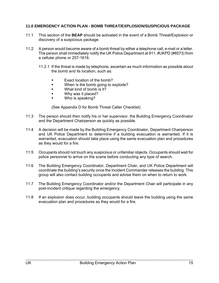#### **11.0 EMERGENCY ACTION PLAN - BOMB THREAT/EXPLOSION/SUSPICIOUS PACKAGE**

- 11.1 This section of the **BEAP** should be activated in the event of a Bomb Threat/Explosion or discovery of a suspicious package.
- 11.2 A person would become aware of a bomb threat by either a telephone call, e-mail or a letter. The person shall immediately notify the UK Police Department at 911, #UKPD (#8573) from a cellular phone or 257-1616.
	- 11.2.1 If the threat is made by telephone, ascertain as much information as possible about the bomb and its location, such as:
		- Exact location of the bomb?
		- **When is the bomb going to explode?**
		- **What kind of bomb is it?**
		- Why was it placed?
		- Who is speaking?

(See Appendix D for Bomb Threat Caller Checklist)

- 11.3 The person should then notify his or her supervisor, the Building Emergency Coordinator and the Department Chairperson as quickly as possible.
- 11.4 A decision will be made by the Building Emergency Coordinator, Department Chairperson and UK Police Department to determine if a building evacuation is warranted. If it is warranted, evacuation should take place using the same evacuation plan and procedures as they would for a fire.
- 11.5 Occupants should not touch any suspicious or unfamiliar objects. Occupants should wait for police personnel to arrive on the scene before conducting any type of search.
- 11.6 The Building Emergency Coordinator, Department Chair, and UK Police Department will coordinate the building's security once the Incident Commander releases the building. This group will also contact building occupants and advise them on when to return to work.
- 11.7 The Building Emergency Coordinator and/or the Department Chair will participate in any post-incident critique regarding the emergency.
- 11.8 If an explosion does occur, building occupants should leave the building using the same evacuation plan and procedures as they would for a fire.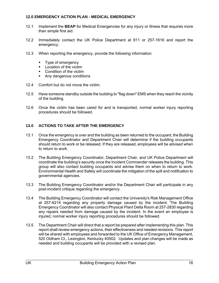#### **12.0 EMERGENCY ACTION PLAN - MEDICAL EMERGENCY**

- 12.1 Implement the **BEAP** for Medical Emergencies for any injury or illness that requires more than simple first aid.
- 12.2 Immediately contact the UK Police Department at 911 or 257-1616 and report the emergency.
- 12.3 When reporting the emergency, provide the following information:
	- Type of emergency
	- **Location of the victim**
	- Condition of the victim
	- Any dangerous conditions
- 12.4 Comfort but do not move the victim.
- 12.5 Have someone standby outside the building to "flag down" EMS when they reach the vicinity of the building.
- 12.6 Once the victim has been cared for and is transported, normal worker injury reporting procedures should be followed.

#### **13.0 ACTIONS TO TAKE AFTER THE EMERGENCY**

- 13.1 Once the emergency is over and the building as been returned to the occupant, the Building Emergency Coordinator and Department Chair will determine if the building occupants should return to work or be released. If they are released, employees will be advised when to return to work.
- 13.2 The Building Emergency Coordinator, Department Chair, and UK Police Department will coordinate the building's security once the Incident Commander releases the building. This group will also contact building occupants and advise them on when to return to work. Environmental Health and Safety will coordinate the mitigation of the spill and notification to governmental agencies.
- 13.3 The Building Emergency Coordinator and/or the Department Chair will participate in any post-incident critique regarding the emergency.
- 13.4 The Building Emergency Coordinator will contact the University's Risk Management Office at 257-6214 regarding any property damage caused by the incident. The Building Emergency Coordinator will also contact Physical Plant Delta Room at 257-2830 regarding any repairs needed from damage caused by the incident. In the event an employee is injured, normal worker injury reporting procedures should be followed.
- 13.5 The Department Chair will direct that a report be prepared after implementing this plan. This report shall review emergency actions, their effectiveness and needed revisions. This report will be shared with employees and forwarded to the UK Office of Emergency Management, 520 Oldham Ct., Lexington, Kentucky 40502. Updates and plan changes will be made as needed and building occupants will be provided with a revised plan.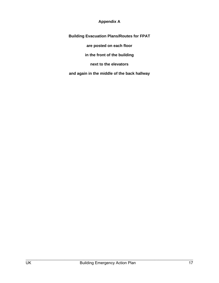#### **Appendix A**

**Building Evacuation Plans/Routes for FPAT are posted on each floor in the front of the building next to the elevators** 

**and again in the middle of the back hallway**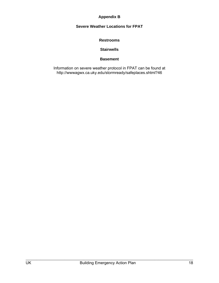#### **Appendix B**

### **Severe Weather Locations for FPAT**

#### **Restrooms**

#### **Stairwells**

#### **Basement**

Information on severe weather protocol in FPAT can be found at http://wwwagwx.ca.uky.edu/stormready/safeplaces.shtml?46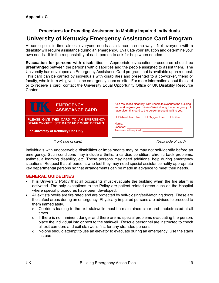# **Procedures for Providing Assistance to Mobility Impaired Individuals**

## **University of Kentucky Emergency Assistance Card Program**

At some point in time almost everyone needs assistance in some way. Not everyone with a disability will require assistance during an emergency. Evaluate your situation and determine your own needs. It is the responsibility of each person to ask for help when needed.

**Evacuation for persons with disabilities --** Appropriate evacuation procedures should be **prearranged** between the persons with disabilities and the people assigned to assist them. The University has developed an Emergency Assistance Card program that is available upon request. This card can be carried by individuals with disabilities and presented to a co-worker, friend or faculty, who in turn will give it to the emergency team on site. For more information about the card or to receive a card, contact the University Equal Opportunity Office or UK Disability Resource Center.



**STAFF ON-SITE. SEE BACK FOR MORE DETAILS.** 

**For University of Kentucky Use Only**

| As a result of a disability, I am unable to evacuate the building<br>and <b>will require your assistance</b> during this emergency. I<br>have given this card to the person presenting it to you. |                    |              |
|---------------------------------------------------------------------------------------------------------------------------------------------------------------------------------------------------|--------------------|--------------|
| $\Box$ Wheelchair User                                                                                                                                                                            | $\Box$ Oxygen User | $\Box$ Other |
| Name:<br>Location:<br><b>Assistance Required:</b>                                                                                                                                                 |                    |              |

 *(front side of card) (back side of card)* 

Individuals with unobservable disabilities or impairments may or may not self-identify before an emergency. Such conditions may include arthritis, a cardiac condition, chronic back problems, asthma, a learning disability, etc. These persons may need additional help during emergency situations. Request that all persons who feel they may need special assistance notify appropriate key departmental persons so that arrangements can be made in advance to meet their needs.

#### **GENERAL GUIDELINES**

- It is University Policy that all occupants must evacuate the building when the fire alarm is activated. The only exceptions to the Policy are patient related areas such as the Hospital where special procedures have been developed.
- All exit stairwells are fire rated and are protected by self-closing/self-latching doors. These are the safest areas during an emergency. Physically impaired persons are advised to proceed to them immediately.
	- $\circ$  Corridors leading to the exit stairwells must be maintained clear and unobstructed at all times.
	- $\circ$  If there is no imminent danger and there are no special problems evacuating the person, place the individual into or next to the stairwell. Rescue personnel are instructed to check all exit corridors and exit stairwells first for any stranded persons.
	- $\circ$  No one should attempt to use an elevator to evacuate during an emergency. Use the stairs instead.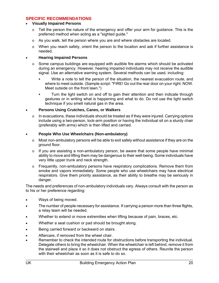#### **SPECIFIC RECOMMENDATIONS**

#### **Visually Impaired Persons**

- $\circ$  Tell the person the nature of the emergency and offer your arm for guidance. This is the preferred method when acting as a "sighted guide."
- $\circ$  As you walk, tell the person where you are and where obstacles are located.
- $\circ$  When you reach safety, orient the person to the location and ask if further assistance is needed.

#### **Hearing Impaired Persons**

- $\circ$  Some campus buildings are equipped with audible fire alarms which should be activated during an emergency. However, hearing impaired individuals may not receive the audible signal. Use an alternative warning system. Several methods can be used, including:
	- Write a note to tell the person of the situation, the nearest evacuation route, and where to meet outside. (Sample script: "FIRE! Go out the rear door on your right. NOW. Meet outside on the front lawn.")
	- Turn the light switch on and off to gain their attention and then indicate through gestures or in writing what is happening and what to do. Do not use the light switch technique if you smell natural gas in the area.

#### **Persons Using Crutches, Canes, or Walkers**

o In evacuations, these individuals should be treated as if they were injured. Carrying options include using a two-person, lock-arm position or having the individual sit on a sturdy chair (preferably with arms) which is then lifted and carried.

#### **People Who Use Wheelchairs (Non-ambulatory)**

- $\circ$  Most non-ambulatory persons will be able to exit safely without assistance if they are on the ground floor.
- $\circ$  If you are assisting a non-ambulatory person, be aware that some people have minimal ability to move and lifting them may be dangerous to their well-being. Some individuals have very little upper trunk and neck strength.
- $\circ$  Frequently, non-ambulatory persons have respiratory complications. Remove them from smoke and vapors immediately. Some people who use wheelchairs may have electrical respirators. Give them priority assistance, as their ability to breathe may be seriously in danger.

The needs and preferences of non-ambulatory individuals vary. Always consult with the person as to his or her preference regarding:

- Ways of being moved.
- The number of people necessary for assistance. If carrying a person more than three flights, a relay team will be needed.
- Whether to extend or move extremities when lifting because of pain, braces, etc.
- Whether a seat cushion or pad should be brought along.
- Being carried forward or backward on stairs.
- Aftercare, if removed from the wheel chair.
- Remember to check the intended route for obstructions before transporting the individual. Delegate others to bring the wheelchair. When the wheelchair is left behind, remove it from the stairwell and place it so it does not obstruct the egress of others. Reunite the person with their wheelchair as soon as it is safe to do so.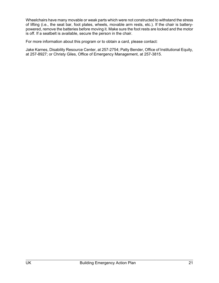Wheelchairs have many movable or weak parts which were not constructed to withstand the stress of lifting (i.e., the seat bar, foot plates, wheels, movable arm rests, etc.). If the chair is batterypowered, remove the batteries before moving it. Make sure the foot rests are locked and the motor is off. If a seatbelt is available, secure the person in the chair.

For more information about this program or to obtain a card, please contact:

Jake Karnes, Disability Resource Center, at 257-2754; Patty Bender, Office of Institutional Equity, at 257-8927; or Christy Giles, Office of Emergency Management, at 257-3815.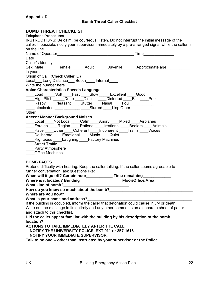### **BOMB THREAT CHECKLIST**

| DUMD INNEAI UNEUNLIJI                                                                                                   |
|-------------------------------------------------------------------------------------------------------------------------|
| <b>Telephone Procedures</b><br>INSTRUCTIONS: Be calm, be courteous, listen. Do not interrupt the initial message of the |
| caller. If possible, notify your supervisor immediately by a pre-arranged signal while the caller is                    |
| on the line.                                                                                                            |
| <b>Time Example</b>                                                                                                     |
|                                                                                                                         |
| Caller's Identity:                                                                                                      |
| Sex: Male_______ Female_______ Adult_______ Juvenile_______ Approximate age_________                                    |
| in years                                                                                                                |
| Origin of Call: (Check Caller ID)                                                                                       |
| Local Long Distance __ Booth ___ Internal                                                                               |
|                                                                                                                         |
| <b>Voice Characteristics Speech Language</b>                                                                            |
| Loud Soft Fast Slow Excellent Good                                                                                      |
| ____High Pitch ______Deep _____Distinct ____Distorted ____Fair ____Poor                                                 |
| ____Raspy ____Pleasant ____Stutter ____Nasal ____Foul ____ ______                                                       |
| ____Intoxicated ____ _______ ____Slurred ____Lisp Other                                                                 |
| Other $\frac{1}{1}$                                                                                                     |
| <b>Accent Manner Background Noises</b>                                                                                  |
| Local Not Local Calm Angry Mixed Airplanes                                                                              |
| _____Foreign _____Region _____Rational _____Irrational _____Bedlam ____Animals                                          |
| Race Other Coherent Incoherent Trains Voices                                                                            |
| ____Deliberate ____Emotional ____Music ____Quiet                                                                        |
| ____Righteous ____Laughing ____Factory Machines                                                                         |
| ____Street Traffic                                                                                                      |
| ____Party Atmosphere                                                                                                    |
| Office Machines                                                                                                         |
|                                                                                                                         |
| <b>BOMB FACTS</b>                                                                                                       |
| Pretend difficulty with hearing. Keep the caller talking. If the caller seems agreeable to                              |
| further conversation, ask questions like:                                                                               |
| When will it go off? Certain hour_____________Time remaining_______________                                             |
|                                                                                                                         |
|                                                                                                                         |
| How do you know so much about the bomb?                                                                                 |
| Where are you now?                                                                                                      |
| What is your name and address?                                                                                          |
| If the building is occupied, inform the caller that detonation could cause injury or death.                             |
| Write out the message in its entirety and any other comments on a separate sheet of paper                               |
| and attach to this checklist.                                                                                           |
| Did the caller appear familiar with the building by his description of the bomb                                         |
| location?                                                                                                               |
| ACTIONS TO TAKE IMMEDIATELY AFTER THE CALL                                                                              |
|                                                                                                                         |
| NOTIFY THE UNIVERSITY POLICE, EXT 911 or 257-1616                                                                       |
| NOTIFY YOUR IMMEDIATE SUPERVISOR.                                                                                       |
| Talk to no one -- other than instructed by your supervisor or the Police.                                               |
|                                                                                                                         |
|                                                                                                                         |